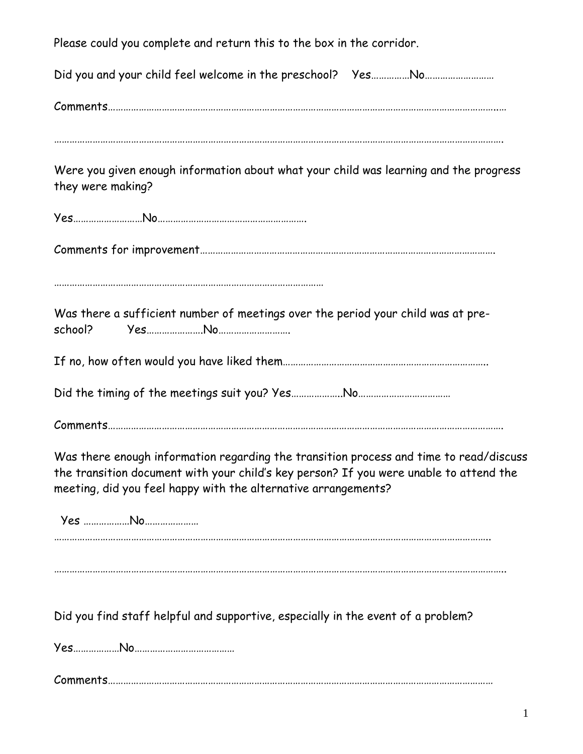Please could you complete and return this to the box in the corridor. Did you and your child feel welcome in the preschool? Yes……………No……………………… Comments……………………………………………………………………………………………………………………………………..… Were you given enough information about what your child was learning and the progress they were making? Yes………………………No…………………………………………………. Comments for improvement……………………………………………………………………………………………………. …………………………………………………………………………………………… Was there a sufficient number of meetings over the period your child was at preschool? Yes………………….No………………………. If no, how often would you have liked them…………………………………………………………………….. Did the timing of the meetings suit you? Yes………………..No……………………………… Comments………………………………………………………………………………………………………………………………………. Was there enough information regarding the transition process and time to read/discuss the transition document with your child's key person? If you were unable to attend the meeting, did you feel happy with the alternative arrangements? Yes ………………No………………… …………………………………………………………………………………………………………………………………………………….. ………………………………………………………………………………………………………………………………………………………….. Did you find staff helpful and supportive, especially in the event of a problem? Yes………………No………………………………… Comments……………………………………………………………………………………………………………………………………